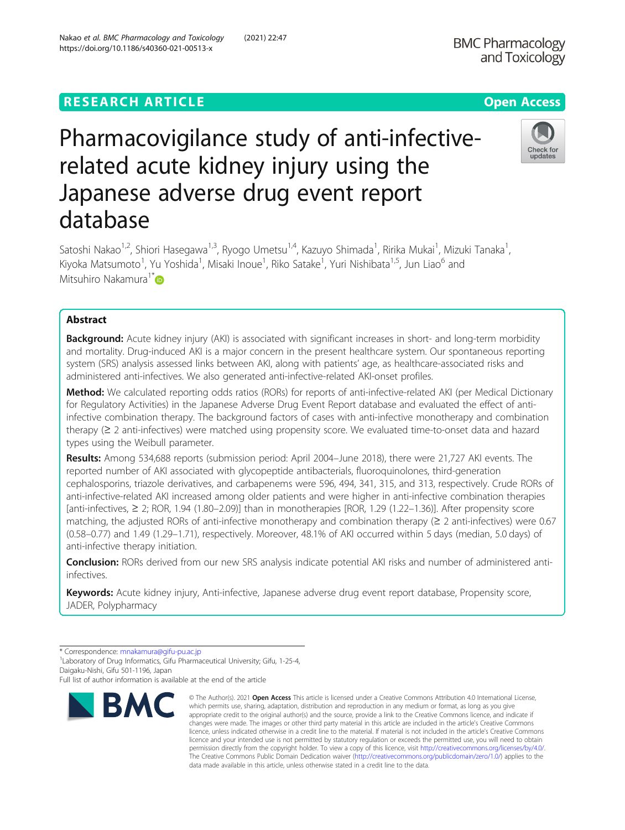# **RESEARCH ARTICLE Example 2014 12:30 The Contract of Contract ACCESS**

# Pharmacovigilance study of anti-infectiverelated acute kidney injury using the Japanese adverse drug event report database

Satoshi Nakao<sup>1,2</sup>, Shiori Hasegawa<sup>1,3</sup>, Ryogo Umetsu<sup>1,4</sup>, Kazuyo Shimada<sup>1</sup>, Ririka Mukai<sup>1</sup>, Mizuki Tanaka<sup>1</sup> , Kiyoka Matsumoto<sup>1</sup>, Yu Yoshida<sup>1</sup>, Misaki Inoue<sup>1</sup>, Riko Satake<sup>1</sup>, Yuri Nishibata<sup>1,5</sup>, Jun Liao<sup>6</sup> and Mitsuhiro Nakamura<sup>1\*</sup>

## Abstract

Background: Acute kidney injury (AKI) is associated with significant increases in short- and long-term morbidity and mortality. Drug-induced AKI is a major concern in the present healthcare system. Our spontaneous reporting system (SRS) analysis assessed links between AKI, along with patients' age, as healthcare-associated risks and administered anti-infectives. We also generated anti-infective-related AKI-onset profiles.

Method: We calculated reporting odds ratios (RORs) for reports of anti-infective-related AKI (per Medical Dictionary for Regulatory Activities) in the Japanese Adverse Drug Event Report database and evaluated the effect of antiinfective combination therapy. The background factors of cases with anti-infective monotherapy and combination therapy (≥ 2 anti-infectives) were matched using propensity score. We evaluated time-to-onset data and hazard types using the Weibull parameter.

Results: Among 534,688 reports (submission period: April 2004–June 2018), there were 21,727 AKI events. The reported number of AKI associated with glycopeptide antibacterials, fluoroquinolones, third-generation cephalosporins, triazole derivatives, and carbapenems were 596, 494, 341, 315, and 313, respectively. Crude RORs of anti-infective-related AKI increased among older patients and were higher in anti-infective combination therapies [anti-infectives, ≥ 2; ROR, 1.94 (1.80–2.09)] than in monotherapies [ROR, 1.29 (1.22–1.36)]. After propensity score matching, the adjusted RORs of anti-infective monotherapy and combination therapy ( $\geq 2$  anti-infectives) were 0.67 (0.58–0.77) and 1.49 (1.29–1.71), respectively. Moreover, 48.1% of AKI occurred within 5 days (median, 5.0 days) of anti-infective therapy initiation.

Conclusion: RORs derived from our new SRS analysis indicate potential AKI risks and number of administered antiinfectives.

Keywords: Acute kidney injury, Anti-infective, Japanese adverse drug event report database, Propensity score, JADER, Polypharmacy

**RMC** 



© The Author(s), 2021 **Open Access** This article is licensed under a Creative Commons Attribution 4.0 International License, which permits use, sharing, adaptation, distribution and reproduction in any medium or format, as long as you give



Check for undate



<sup>\*</sup> Correspondence: [mnakamura@gifu-pu.ac.jp](mailto:mnakamura@gifu-pu.ac.jp) <sup>1</sup>

<sup>&</sup>lt;sup>1</sup> Laboratory of Drug Informatics, Gifu Pharmaceutical University; Gifu, 1-25-4, Daigaku-Nishi, Gifu 501-1196, Japan

Full list of author information is available at the end of the article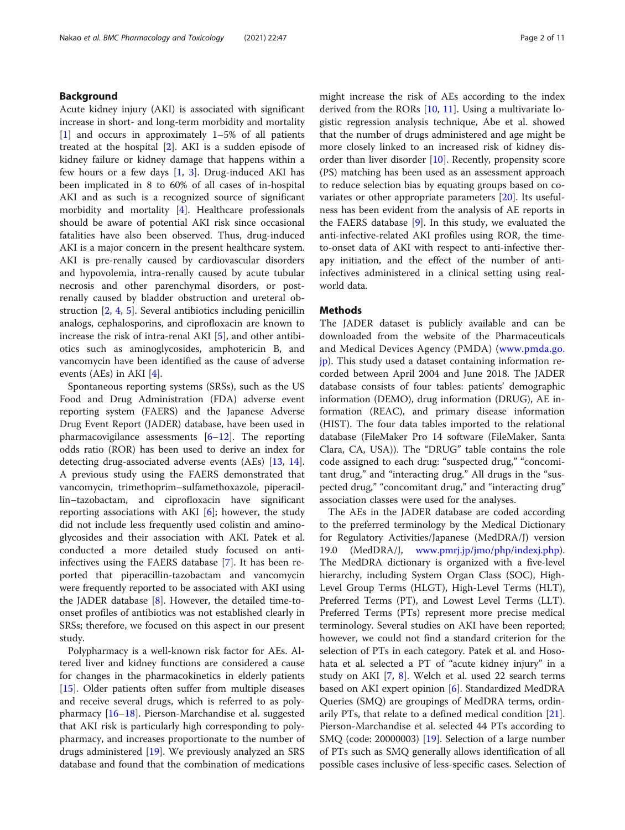#### Background

Acute kidney injury (AKI) is associated with significant increase in short- and long-term morbidity and mortality [[1\]](#page-9-0) and occurs in approximately 1–5% of all patients treated at the hospital [\[2](#page-9-0)]. AKI is a sudden episode of kidney failure or kidney damage that happens within a few hours or a few days  $[1, 3]$  $[1, 3]$  $[1, 3]$  $[1, 3]$ . Drug-induced AKI has been implicated in 8 to 60% of all cases of in-hospital AKI and as such is a recognized source of significant morbidity and mortality [[4\]](#page-9-0). Healthcare professionals should be aware of potential AKI risk since occasional fatalities have also been observed. Thus, drug-induced AKI is a major concern in the present healthcare system. AKI is pre-renally caused by cardiovascular disorders and hypovolemia, intra-renally caused by acute tubular necrosis and other parenchymal disorders, or postrenally caused by bladder obstruction and ureteral obstruction [[2,](#page-9-0) [4,](#page-9-0) [5](#page-9-0)]. Several antibiotics including penicillin analogs, cephalosporins, and ciprofloxacin are known to increase the risk of intra-renal AKI [\[5](#page-9-0)], and other antibiotics such as aminoglycosides, amphotericin B, and vancomycin have been identified as the cause of adverse events (AEs) in AKI [[4\]](#page-9-0).

Spontaneous reporting systems (SRSs), such as the US Food and Drug Administration (FDA) adverse event reporting system (FAERS) and the Japanese Adverse Drug Event Report (JADER) database, have been used in pharmacovigilance assessments [[6](#page-9-0)–[12](#page-9-0)]. The reporting odds ratio (ROR) has been used to derive an index for detecting drug-associated adverse events (AEs) [\[13](#page-9-0), [14](#page-9-0)]. A previous study using the FAERS demonstrated that vancomycin, trimethoprim–sulfamethoxazole, piperacillin–tazobactam, and ciprofloxacin have significant reporting associations with AKI  $[6]$ ; however, the study did not include less frequently used colistin and aminoglycosides and their association with AKI. Patek et al. conducted a more detailed study focused on antiinfectives using the FAERS database [[7\]](#page-9-0). It has been reported that piperacillin-tazobactam and vancomycin were frequently reported to be associated with AKI using the JADER database  $[8]$  $[8]$ . However, the detailed time-toonset profiles of antibiotics was not established clearly in SRSs; therefore, we focused on this aspect in our present study.

Polypharmacy is a well-known risk factor for AEs. Altered liver and kidney functions are considered a cause for changes in the pharmacokinetics in elderly patients [[15\]](#page-9-0). Older patients often suffer from multiple diseases and receive several drugs, which is referred to as polypharmacy [\[16](#page-9-0)–[18\]](#page-9-0). Pierson-Marchandise et al. suggested that AKI risk is particularly high corresponding to polypharmacy, and increases proportionate to the number of drugs administered [\[19\]](#page-10-0). We previously analyzed an SRS database and found that the combination of medications might increase the risk of AEs according to the index derived from the RORs [\[10,](#page-9-0) [11](#page-9-0)]. Using a multivariate logistic regression analysis technique, Abe et al. showed that the number of drugs administered and age might be more closely linked to an increased risk of kidney disorder than liver disorder [\[10](#page-9-0)]. Recently, propensity score (PS) matching has been used as an assessment approach to reduce selection bias by equating groups based on covariates or other appropriate parameters [[20](#page-10-0)]. Its usefulness has been evident from the analysis of AE reports in the FAERS database [[9\]](#page-9-0). In this study, we evaluated the anti-infective-related AKI profiles using ROR, the timeto-onset data of AKI with respect to anti-infective therapy initiation, and the effect of the number of antiinfectives administered in a clinical setting using realworld data.

#### **Methods**

The JADER dataset is publicly available and can be downloaded from the website of the Pharmaceuticals and Medical Devices Agency (PMDA) ([www.pmda.go.](http://www.pmda.go.jp) [jp](http://www.pmda.go.jp)). This study used a dataset containing information recorded between April 2004 and June 2018. The JADER database consists of four tables: patients' demographic information (DEMO), drug information (DRUG), AE information (REAC), and primary disease information (HIST). The four data tables imported to the relational database (FileMaker Pro 14 software (FileMaker, Santa Clara, CA, USA)). The "DRUG" table contains the role code assigned to each drug: "suspected drug," "concomitant drug," and "interacting drug." All drugs in the "suspected drug," "concomitant drug," and "interacting drug" association classes were used for the analyses.

The AEs in the JADER database are coded according to the preferred terminology by the Medical Dictionary for Regulatory Activities/Japanese (MedDRA/J) version 19.0 (MedDRA/J, [www.pmrj.jp/jmo/php/indexj.php](http://www.pmrj.jp/jmo/php/indexj.php)). The MedDRA dictionary is organized with a five-level hierarchy, including System Organ Class (SOC), High-Level Group Terms (HLGT), High-Level Terms (HLT), Preferred Terms (PT), and Lowest Level Terms (LLT). Preferred Terms (PTs) represent more precise medical terminology. Several studies on AKI have been reported; however, we could not find a standard criterion for the selection of PTs in each category. Patek et al. and Hosohata et al. selected a PT of "acute kidney injury" in a study on AKI [[7,](#page-9-0) [8\]](#page-9-0). Welch et al. used 22 search terms based on AKI expert opinion [\[6](#page-9-0)]. Standardized MedDRA Queries (SMQ) are groupings of MedDRA terms, ordinarily PTs, that relate to a defined medical condition [\[21](#page-10-0)]. Pierson-Marchandise et al. selected 44 PTs according to SMQ (code: 20000003) [\[19](#page-10-0)]. Selection of a large number of PTs such as SMQ generally allows identification of all possible cases inclusive of less-specific cases. Selection of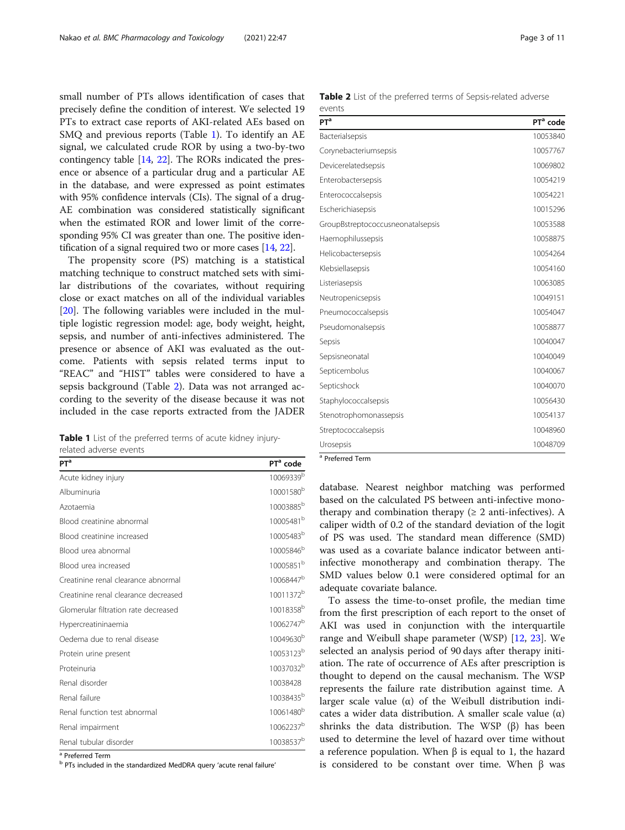small number of PTs allows identification of cases that precisely define the condition of interest. We selected 19 PTs to extract case reports of AKI-related AEs based on SMQ and previous reports (Table 1). To identify an AE signal, we calculated crude ROR by using a two-by-two contingency table [\[14](#page-9-0), [22](#page-10-0)]. The RORs indicated the presence or absence of a particular drug and a particular AE in the database, and were expressed as point estimates with 95% confidence intervals (CIs). The signal of a drug-AE combination was considered statistically significant when the estimated ROR and lower limit of the corresponding 95% CI was greater than one. The positive identification of a signal required two or more cases [\[14](#page-9-0), [22](#page-10-0)].

The propensity score (PS) matching is a statistical matching technique to construct matched sets with similar distributions of the covariates, without requiring close or exact matches on all of the individual variables [[20\]](#page-10-0). The following variables were included in the multiple logistic regression model: age, body weight, height, sepsis, and number of anti-infectives administered. The presence or absence of AKI was evaluated as the outcome. Patients with sepsis related terms input to "REAC" and "HIST" tables were considered to have a sepsis background (Table 2). Data was not arranged according to the severity of the disease because it was not included in the case reports extracted from the JADER

Table 1 List of the preferred terms of acute kidney injuryrelated adverse events

| <b>PT<sup>a</sup></b>                | PT <sup>a</sup> code  |
|--------------------------------------|-----------------------|
| Acute kidney injury                  | 10069339 <sup>b</sup> |
| Albuminuria                          | 10001580 <sup>b</sup> |
| Azotaemia                            | 10003885 <sup>b</sup> |
| Blood creatinine abnormal            | 10005481 <sup>b</sup> |
| Blood creatinine increased           | 10005483 <sup>b</sup> |
| Blood urea abnormal                  | 10005846 <sup>b</sup> |
| Blood urea increased                 | 10005851 <sup>b</sup> |
| Creatinine renal clearance abnormal  | 10068447 <sup>b</sup> |
| Creatinine renal clearance decreased | 10011372 <sup>b</sup> |
| Glomerular filtration rate decreased | 10018358 <sup>b</sup> |
| Hypercreatininaemia                  | 10062747 <sup>b</sup> |
| Oedema due to renal disease          | 10049630 <sup>b</sup> |
| Protein urine present                | 10053123 <sup>b</sup> |
| Proteinuria                          | 10037032 <sup>b</sup> |
| Renal disorder                       | 10038428              |
| Renal failure                        | 10038435 <sup>b</sup> |
| Renal function test abnormal         | 10061480 <sup>b</sup> |
| Renal impairment                     | 10062237 <sup>b</sup> |
| Renal tubular disorder               | 10038537 <sup>b</sup> |

<sup>a</sup> Preferred Term

<sup>b</sup> PTs included in the standardized MedDRA query 'acute renal failure'

| <b>Table 2</b> List of the preferred terms of Sepsis-related adverse |  |  |
|----------------------------------------------------------------------|--|--|
| events                                                               |  |  |

| PT <sup>a</sup> code |
|----------------------|
| 10053840             |
| 10057767             |
| 10069802             |
| 10054219             |
| 10054221             |
| 10015296             |
| 10053588             |
| 10058875             |
| 10054264             |
| 10054160             |
| 10063085             |
| 10049151             |
| 10054047             |
| 10058877             |
| 10040047             |
| 10040049             |
| 10040067             |
| 10040070             |
| 10056430             |
| 10054137             |
| 10048960             |
| 10048709             |
|                      |
|                      |

database. Nearest neighbor matching was performed based on the calculated PS between anti-infective monotherapy and combination therapy ( $\geq 2$  anti-infectives). A caliper width of 0.2 of the standard deviation of the logit of PS was used. The standard mean difference (SMD) was used as a covariate balance indicator between antiinfective monotherapy and combination therapy. The SMD values below 0.1 were considered optimal for an adequate covariate balance.

To assess the time-to-onset profile, the median time from the first prescription of each report to the onset of AKI was used in conjunction with the interquartile range and Weibull shape parameter (WSP) [\[12](#page-9-0), [23](#page-10-0)]. We selected an analysis period of 90 days after therapy initiation. The rate of occurrence of AEs after prescription is thought to depend on the causal mechanism. The WSP represents the failure rate distribution against time. A larger scale value (α) of the Weibull distribution indicates a wider data distribution. A smaller scale value (α) shrinks the data distribution. The WSP  $(β)$  has been used to determine the level of hazard over time without a reference population. When β is equal to 1, the hazard is considered to be constant over time. When β was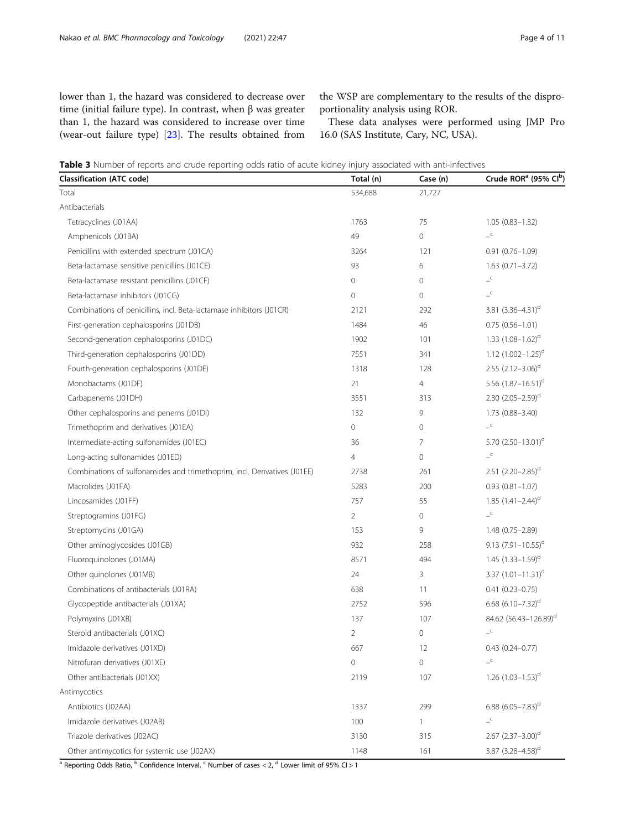<span id="page-3-0"></span>lower than 1, the hazard was considered to decrease over time (initial failure type). In contrast, when β was greater than 1, the hazard was considered to increase over time (wear-out failure type) [\[23](#page-10-0)]. The results obtained from the WSP are complementary to the results of the disproportionality analysis using ROR.

These data analyses were performed using JMP Pro 16.0 (SAS Institute, Cary, NC, USA).

Table 3 Number of reports and crude reporting odds ratio of acute kidney injury associated with anti-infectives

| <b>Classification (ATC code)</b>                                         | Total (n)      | Case (n)       | Crude ROR <sup>a</sup> (95% CIb)                           |
|--------------------------------------------------------------------------|----------------|----------------|------------------------------------------------------------|
| Total                                                                    | 534,688        | 21,727         |                                                            |
| Antibacterials                                                           |                |                |                                                            |
| Tetracyclines (J01AA)                                                    | 1763           | 75             | $1.05(0.83 - 1.32)$                                        |
| Amphenicols (J01BA)                                                      | 49             | 0              | $\mathord{\hspace{1pt}\text{--}\hspace{1pt}}^{\mathsf{c}}$ |
| Penicillins with extended spectrum (J01CA)                               | 3264           | 121            | $0.91(0.76 - 1.09)$                                        |
| Beta-lactamase sensitive penicillins (J01CE)                             | 93             | 6              | $1.63(0.71 - 3.72)$                                        |
| Beta-lactamase resistant penicillins (J01CF)                             | $\overline{0}$ | $\overline{0}$ | $\overline{\phantom{a}}^{\phantom{a}}$                     |
| Beta-lactamase inhibitors (J01CG)                                        | $\mathbf 0$    | $\overline{0}$ | $-^\mathsf{C}$                                             |
| Combinations of penicillins, incl. Beta-lactamase inhibitors (J01CR)     | 2121           | 292            | 3.81 $(3.36 - 4.31)^d$                                     |
| First-generation cephalosporins (J01DB)                                  | 1484           | 46             | $0.75(0.56 - 1.01)$                                        |
| Second-generation cephalosporins (J01DC)                                 | 1902           | 101            | 1.33 $(1.08 - 1.62)^d$                                     |
| Third-generation cephalosporins (J01DD)                                  | 7551           | 341            | 1.12 $(1.002 - 1.25)^d$                                    |
| Fourth-generation cephalosporins (J01DE)                                 | 1318           | 128            | 2.55 $(2.12 - 3.06)^d$                                     |
| Monobactams (J01DF)                                                      | 21             | $\overline{4}$ | 5.56 $(1.87 - 16.51)^d$                                    |
| Carbapenems (J01DH)                                                      | 3551           | 313            | 2.30 $(2.05 - 2.59)^d$                                     |
| Other cephalosporins and penems (J01DI)                                  | 132            | 9              | 1.73 (0.88-3.40)                                           |
| Trimethoprim and derivatives (J01EA)                                     | $\mathbf 0$    | $\overline{0}$ | $-^\mathsf{c}$                                             |
| Intermediate-acting sulfonamides (J01EC)                                 | 36             | $\overline{7}$ | 5.70 $(2.50 - 13.01)$ <sup>d</sup>                         |
| Long-acting sulfonamides (J01ED)                                         | $\overline{4}$ | $\overline{0}$ | $\mathord{\hspace{1pt}\text{--}\hspace{1pt}}^{\mathsf{c}}$ |
| Combinations of sulfonamides and trimethoprim, incl. Derivatives (J01EE) | 2738           | 261            | 2.51 $(2.20-2.85)^d$                                       |
| Macrolides (J01FA)                                                       | 5283           | 200            | $0.93(0.81 - 1.07)$                                        |
| Lincosamides (J01FF)                                                     | 757            | 55             | 1.85 $(1.41 - 2.44)^d$                                     |
| Streptogramins (J01FG)                                                   | $\overline{2}$ | 0              | $-^\mathsf{C}$                                             |
| Streptomycins (J01GA)                                                    | 153            | 9              | $1.48(0.75 - 2.89)$                                        |
| Other aminoglycosides (J01GB)                                            | 932            | 258            | 9.13 $(7.91 - 10.55)^d$                                    |
| Fluoroquinolones (J01MA)                                                 | 8571           | 494            | 1.45 $(1.33 - 1.59)^d$                                     |
| Other quinolones (J01MB)                                                 | 24             | 3              | 3.37 $(1.01 - 11.31)^d$                                    |
| Combinations of antibacterials (J01RA)                                   | 638            | 11             | $0.41(0.23 - 0.75)$                                        |
| Glycopeptide antibacterials (J01XA)                                      | 2752           | 596            | 6.68 $(6.10 - 7.32)^d$                                     |
| Polymyxins (J01XB)                                                       | 137            | 107            | 84.62 (56.43-126.89) <sup>d</sup>                          |
| Steroid antibacterials (J01XC)                                           | $\overline{2}$ | $\mathbf 0$    | $-^\mathsf{c}$                                             |
| Imidazole derivatives (J01XD)                                            | 667            | 12             | $0.43(0.24 - 0.77)$                                        |
| Nitrofuran derivatives (J01XE)                                           | 0              | 0              | $\mathord{\hspace{1pt}\text{--}\hspace{1pt}}^{\mathsf{c}}$ |
| Other antibacterials (J01XX)                                             | 2119           | 107            | 1.26 $(1.03 - 1.53)^d$                                     |
| Antimycotics                                                             |                |                |                                                            |
| Antibiotics (J02AA)                                                      | 1337           | 299            | 6.88 $(6.05 - 7.83)^d$                                     |
| Imidazole derivatives (J02AB)                                            | 100            | $\mathbf{1}$   | $\mathord{\hspace{1pt}\text{--}\hspace{1pt}}^{\mathsf{c}}$ |
| Triazole derivatives (J02AC)                                             | 3130           | 315            | 2.67 $(2.37 - 3.00)^d$                                     |
| Other antimycotics for systemic use (J02AX)                              | 1148           | 161            | 3.87 (3.28-4.58) <sup>d</sup>                              |

<sup>a</sup> Reporting Odds Ratio, <sup>b</sup> Confidence Interval, <sup>c</sup> Number of cases < 2, <sup>d</sup> Lower limit of 95% CI > 1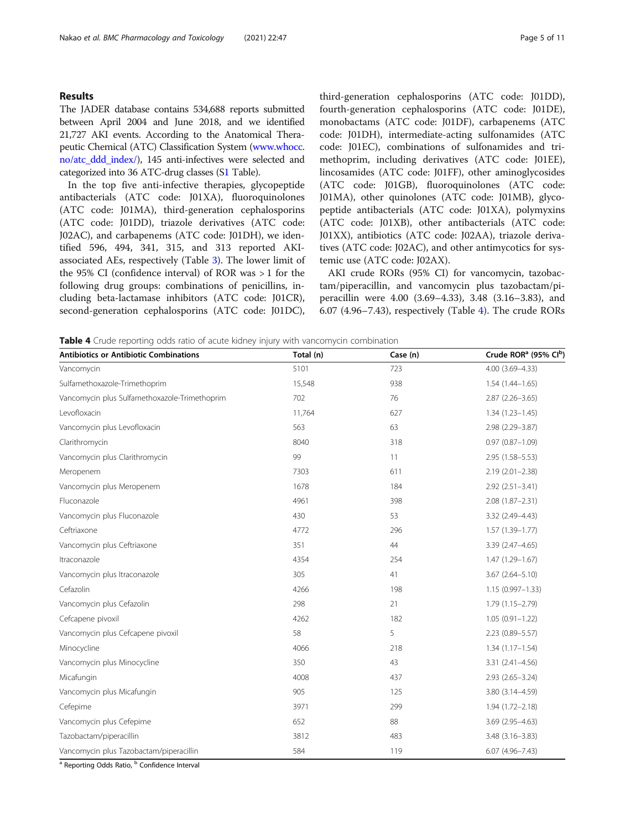#### Results

The JADER database contains 534,688 reports submitted between April 2004 and June 2018, and we identified 21,727 AKI events. According to the Anatomical Therapeutic Chemical (ATC) Classification System ([www.whocc.](http://www.whocc.no/atc_ddd_index/) [no/atc\\_ddd\\_index/\)](http://www.whocc.no/atc_ddd_index/), 145 anti-infectives were selected and categorized into 36 ATC-drug classes (S[1](#page-9-0) Table).

In the top five anti-infective therapies, glycopeptide antibacterials (ATC code: J01XA), fluoroquinolones (ATC code: J01MA), third-generation cephalosporins (ATC code: J01DD), triazole derivatives (ATC code: J02AC), and carbapenems (ATC code: J01DH), we identified 596, 494, 341, 315, and 313 reported AKIassociated AEs, respectively (Table [3](#page-3-0)). The lower limit of the 95% CI (confidence interval) of ROR was > 1 for the following drug groups: combinations of penicillins, including beta-lactamase inhibitors (ATC code: J01CR), second-generation cephalosporins (ATC code: J01DC),

third-generation cephalosporins (ATC code: J01DD), fourth-generation cephalosporins (ATC code: J01DE), monobactams (ATC code: J01DF), carbapenems (ATC code: J01DH), intermediate-acting sulfonamides (ATC code: J01EC), combinations of sulfonamides and trimethoprim, including derivatives (ATC code: J01EE), lincosamides (ATC code: J01FF), other aminoglycosides (ATC code: J01GB), fluoroquinolones (ATC code: J01MA), other quinolones (ATC code: J01MB), glycopeptide antibacterials (ATC code: J01XA), polymyxins (ATC code: J01XB), other antibacterials (ATC code: J01XX), antibiotics (ATC code: J02AA), triazole derivatives (ATC code: J02AC), and other antimycotics for systemic use (ATC code: J02AX).

AKI crude RORs (95% CI) for vancomycin, tazobactam/piperacillin, and vancomycin plus tazobactam/piperacillin were 4.00 (3.69–4.33), 3.48 (3.16–3.83), and 6.07 (4.96–7.43), respectively (Table 4). The crude RORs

**Table 4** Crude reporting odds ratio of acute kidney injury with vancomycin combination

| <b>Antibiotics or Antibiotic Combinations</b> | Total (n) | Case (n) | Crude ROR <sup>a</sup> (95% Clb) |
|-----------------------------------------------|-----------|----------|----------------------------------|
| Vancomycin                                    | 5101      | 723      | 4.00 (3.69-4.33)                 |
| Sulfamethoxazole-Trimethoprim                 | 15,548    | 938      | $1.54(1.44 - 1.65)$              |
| Vancomycin plus Sulfamethoxazole-Trimethoprim | 702       | 76       | $2.87(2.26 - 3.65)$              |
| Levofloxacin                                  | 11,764    | 627      | $1.34(1.23 - 1.45)$              |
| Vancomycin plus Levofloxacin                  | 563       | 63       | 2.98 (2.29-3.87)                 |
| Clarithromycin                                | 8040      | 318      | $0.97(0.87 - 1.09)$              |
| Vancomycin plus Clarithromycin                | 99        | 11       | 2.95 (1.58-5.53)                 |
| Meropenem                                     | 7303      | 611      | $2.19(2.01 - 2.38)$              |
| Vancomycin plus Meropenem                     | 1678      | 184      | $2.92(2.51 - 3.41)$              |
| Fluconazole                                   | 4961      | 398      | $2.08(1.87 - 2.31)$              |
| Vancomycin plus Fluconazole                   | 430       | 53       | 3.32 (2.49-4.43)                 |
| Ceftriaxone                                   | 4772      | 296      | $1.57(1.39 - 1.77)$              |
| Vancomycin plus Ceftriaxone                   | 351       | 44       | 3.39 (2.47-4.65)                 |
| Itraconazole                                  | 4354      | 254      | 1.47 (1.29-1.67)                 |
| Vancomycin plus Itraconazole                  | 305       | 41       | $3.67(2.64 - 5.10)$              |
| Cefazolin                                     | 4266      | 198      | $1.15(0.997 - 1.33)$             |
| Vancomycin plus Cefazolin                     | 298       | 21       | $1.79(1.15 - 2.79)$              |
| Cefcapene pivoxil                             | 4262      | 182      | $1.05(0.91 - 1.22)$              |
| Vancomycin plus Cefcapene pivoxil             | 58        | 5        | 2.23 (0.89-5.57)                 |
| Minocycline                                   | 4066      | 218      | $1.34(1.17 - 1.54)$              |
| Vancomycin plus Minocycline                   | 350       | 43       | $3.31(2.41 - 4.56)$              |
| Micafungin                                    | 4008      | 437      | $2.93(2.65 - 3.24)$              |
| Vancomycin plus Micafungin                    | 905       | 125      | 3.80 (3.14-4.59)                 |
| Cefepime                                      | 3971      | 299      | $1.94(1.72 - 2.18)$              |
| Vancomycin plus Cefepime                      | 652       | 88       | 3.69 (2.95-4.63)                 |
| Tazobactam/piperacillin                       | 3812      | 483      | 3.48 (3.16-3.83)                 |
| Vancomycin plus Tazobactam/piperacillin       | 584       | 119      | $6.07(4.96 - 7.43)$              |

<sup>a</sup> Reporting Odds Ratio, <sup>b</sup> Confidence Interval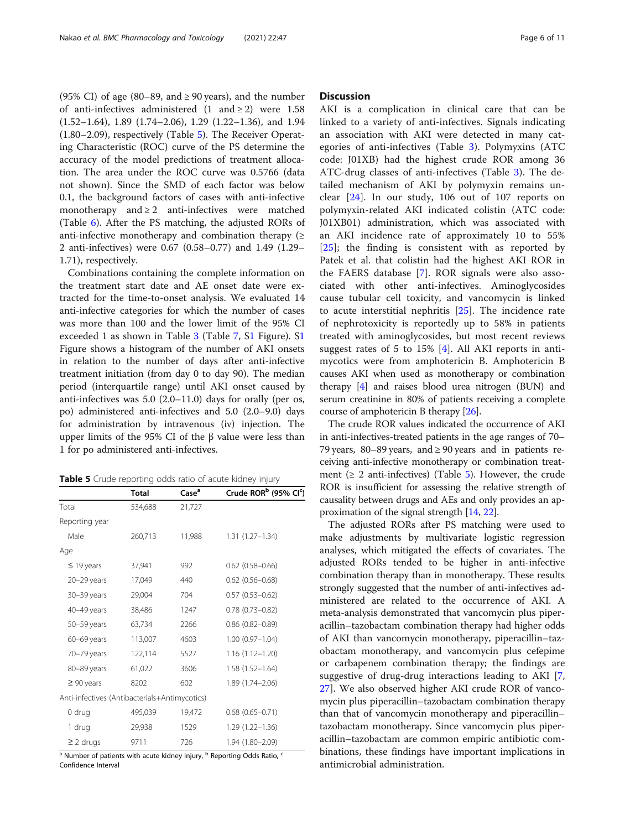(95% CI) of age (80–89, and  $\geq$  90 years), and the number of anti-infectives administered  $(1 \text{ and } \ge 2)$  were 1.58 (1.52–1.64), 1.89 (1.74–2.06), 1.29 (1.22–1.36), and 1.94 (1.80–2.09), respectively (Table 5). The Receiver Operating Characteristic (ROC) curve of the PS determine the accuracy of the model predictions of treatment allocation. The area under the ROC curve was 0.5766 (data not shown). Since the SMD of each factor was below 0.1, the background factors of cases with anti-infective monotherapy and  $\geq 2$  anti-infectives were matched (Table [6\)](#page-6-0). After the PS matching, the adjusted RORs of anti-infective monotherapy and combination therapy  $(≥$ 2 anti-infectives) were 0.67 (0.58–0.77) and 1.49 (1.29– 1.71), respectively.

Combinations containing the complete information on the treatment start date and AE onset date were extracted for the time-to-onset analysis. We evaluated 14 anti-infective categories for which the number of cases was more than 100 and the lower limit of the 95% CI exceeded 1 as shown in Table [3](#page-3-0) (Table [7](#page-8-0), S[1](#page-8-0) Figure). S[1](#page-8-0) Figure shows a histogram of the number of AKI onsets in relation to the number of days after anti-infective treatment initiation (from day 0 to day 90). The median period (interquartile range) until AKI onset caused by anti-infectives was 5.0 (2.0–11.0) days for orally (per os, po) administered anti-infectives and 5.0 (2.0–9.0) days for administration by intravenous (iv) injection. The upper limits of the 95% CI of the β value were less than 1 for po administered anti-infectives.

Table 5 Crude reporting odds ratio of acute kidney injury

|                                               | <b>Total</b> | Case <sup>a</sup> | Crude ROR <sup>b</sup> (95% CI <sup>c</sup> |
|-----------------------------------------------|--------------|-------------------|---------------------------------------------|
| Total                                         | 534,688      | 21,727            |                                             |
| Reporting year                                |              |                   |                                             |
| Male                                          | 260,713      | 11,988            | $1.31(1.27 - 1.34)$                         |
| Age                                           |              |                   |                                             |
| $\leq$ 19 years                               | 37,941       | 992               | $0.62$ $(0.58 - 0.66)$                      |
| 20-29 years                                   | 17,049       | 440               | $0.62$ $(0.56 - 0.68)$                      |
| 30-39 years                                   | 29,004       | 704               | $0.57$ $(0.53 - 0.62)$                      |
| 40-49 years                                   | 38,486       | 1247              | $0.78(0.73 - 0.82)$                         |
| 50-59 years                                   | 63,734       | 2266              | $0.86$ $(0.82 - 0.89)$                      |
| 60-69 years                                   | 113,007      | 4603              | $1.00(0.97 - 1.04)$                         |
| 70-79 years                                   | 122,114      | 5527              | $1.16(1.12 - 1.20)$                         |
| 80-89 years                                   | 61,022       | 3606              | $1.58(1.52 - 1.64)$                         |
| $\geq 90$ years                               | 8202         | 602               | 1.89 (1.74-2.06)                            |
| Anti-infectives (Antibacterials+Antimycotics) |              |                   |                                             |
| 0 drug                                        | 495,039      | 19,472            | $0.68$ $(0.65 - 0.71)$                      |
| 1 drug                                        | 29,938       | 1529              | $1.29(1.22 - 1.36)$                         |
| $\geq$ 2 drugs                                | 9711         | 726               | 1.94 (1.80-2.09)                            |

 $a<sup>a</sup>$  Number of patients with acute kidney injury,  $b<sup>b</sup>$  Reporting Odds Ratio,  $a<sup>c</sup>$ Confidence Interval

#### **Discussion**

)

AKI is a complication in clinical care that can be linked to a variety of anti-infectives. Signals indicating an association with AKI were detected in many categories of anti-infectives (Table [3](#page-3-0)). Polymyxins (ATC code: J01XB) had the highest crude ROR among 36 ATC-drug classes of anti-infectives (Table [3\)](#page-3-0). The detailed mechanism of AKI by polymyxin remains unclear [\[24](#page-10-0)]. In our study, 106 out of 107 reports on polymyxin-related AKI indicated colistin (ATC code: J01XB01) administration, which was associated with an AKI incidence rate of approximately 10 to 55% [[25\]](#page-10-0); the finding is consistent with as reported by Patek et al. that colistin had the highest AKI ROR in the FAERS database [[7\]](#page-9-0). ROR signals were also associated with other anti-infectives. Aminoglycosides cause tubular cell toxicity, and vancomycin is linked to acute interstitial nephritis [[25\]](#page-10-0). The incidence rate of nephrotoxicity is reportedly up to 58% in patients treated with aminoglycosides, but most recent reviews suggest rates of 5 to 15% [\[4](#page-9-0)]. All AKI reports in antimycotics were from amphotericin B. Amphotericin B causes AKI when used as monotherapy or combination therapy [[4\]](#page-9-0) and raises blood urea nitrogen (BUN) and serum creatinine in 80% of patients receiving a complete course of amphotericin B therapy [\[26\]](#page-10-0).

The crude ROR values indicated the occurrence of AKI in anti-infectives-treated patients in the age ranges of 70– 79 years, 80–89 years, and  $\geq$  90 years and in patients receiving anti-infective monotherapy or combination treatment ( $\geq 2$  anti-infectives) (Table 5). However, the crude ROR is insufficient for assessing the relative strength of causality between drugs and AEs and only provides an approximation of the signal strength [\[14](#page-9-0), [22](#page-10-0)].

The adjusted RORs after PS matching were used to make adjustments by multivariate logistic regression analyses, which mitigated the effects of covariates. The adjusted RORs tended to be higher in anti-infective combination therapy than in monotherapy. These results strongly suggested that the number of anti-infectives administered are related to the occurrence of AKI. A meta-analysis demonstrated that vancomycin plus piperacillin–tazobactam combination therapy had higher odds of AKI than vancomycin monotherapy, piperacillin–tazobactam monotherapy, and vancomycin plus cefepime or carbapenem combination therapy; the findings are suggestive of drug-drug interactions leading to AKI [\[7](#page-9-0), [27\]](#page-10-0). We also observed higher AKI crude ROR of vancomycin plus piperacillin–tazobactam combination therapy than that of vancomycin monotherapy and piperacillin– tazobactam monotherapy. Since vancomycin plus piperacillin–tazobactam are common empiric antibiotic combinations, these findings have important implications in antimicrobial administration.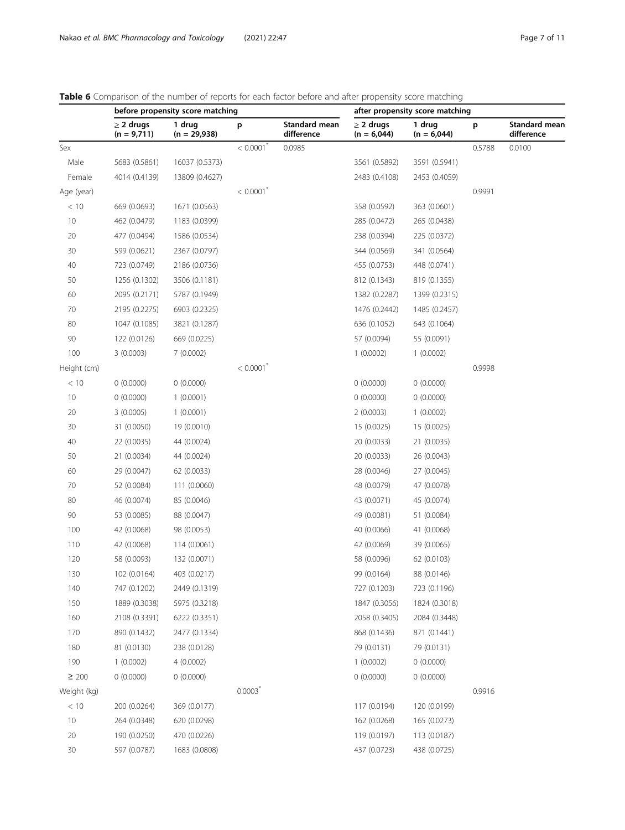<span id="page-6-0"></span>

|  |  |  |  |  |  |  |  | Table 6 Comparison of the number of reports for each factor before and after propensity score matching |  |
|--|--|--|--|--|--|--|--|--------------------------------------------------------------------------------------------------------|--|
|  |  |  |  |  |  |  |  |                                                                                                        |  |

|                                 |                                              |                                                                            |                             | after propensity score matching |                                                                        |                                                           |                                            |  |  |
|---------------------------------|----------------------------------------------|----------------------------------------------------------------------------|-----------------------------|---------------------------------|------------------------------------------------------------------------|-----------------------------------------------------------|--------------------------------------------|--|--|
| $\geq$ 2 drugs<br>$(n = 9,711)$ | 1 drug<br>$(n = 29,938)$                     | p                                                                          | Standard mean<br>difference | $\geq$ 2 drugs<br>$(n = 6,044)$ | 1 drug<br>$(n = 6,044)$                                                | p                                                         | Standard mean<br>difference                |  |  |
|                                 |                                              | $< 0.0001$ <sup>*</sup>                                                    | 0.0985                      |                                 |                                                                        | 0.5788                                                    | 0.0100                                     |  |  |
| 5683 (0.5861)                   | 16037 (0.5373)                               |                                                                            |                             | 3561 (0.5892)                   | 3591 (0.5941)                                                          |                                                           |                                            |  |  |
| 4014 (0.4139)                   | 13809 (0.4627)                               |                                                                            |                             | 2483 (0.4108)                   | 2453 (0.4059)                                                          |                                                           |                                            |  |  |
|                                 |                                              | $< 0.0001$ <sup>*</sup>                                                    |                             |                                 |                                                                        | 0.9991                                                    |                                            |  |  |
| 669 (0.0693)                    | 1671 (0.0563)                                |                                                                            |                             | 358 (0.0592)                    | 363 (0.0601)                                                           |                                                           |                                            |  |  |
| 462 (0.0479)                    | 1183 (0.0399)                                |                                                                            |                             | 285 (0.0472)                    | 265 (0.0438)                                                           |                                                           |                                            |  |  |
| 477 (0.0494)                    | 1586 (0.0534)                                |                                                                            |                             | 238 (0.0394)                    | 225 (0.0372)                                                           |                                                           |                                            |  |  |
| 599 (0.0621)                    | 2367 (0.0797)                                |                                                                            |                             | 344 (0.0569)                    | 341 (0.0564)                                                           |                                                           |                                            |  |  |
| 723 (0.0749)                    | 2186 (0.0736)                                |                                                                            |                             | 455 (0.0753)                    | 448 (0.0741)                                                           |                                                           |                                            |  |  |
| 1256 (0.1302)                   | 3506 (0.1181)                                |                                                                            |                             | 812 (0.1343)                    | 819 (0.1355)                                                           |                                                           |                                            |  |  |
| 2095 (0.2171)                   | 5787 (0.1949)                                |                                                                            |                             | 1382 (0.2287)                   | 1399 (0.2315)                                                          |                                                           |                                            |  |  |
| 2195 (0.2275)                   | 6903 (0.2325)                                |                                                                            |                             | 1476 (0.2442)                   | 1485 (0.2457)                                                          |                                                           |                                            |  |  |
| 1047 (0.1085)                   | 3821 (0.1287)                                |                                                                            |                             | 636 (0.1052)                    | 643 (0.1064)                                                           |                                                           |                                            |  |  |
| 122 (0.0126)                    | 669 (0.0225)                                 |                                                                            |                             | 57 (0.0094)                     | 55 (0.0091)                                                            |                                                           |                                            |  |  |
| 3(0.0003)                       | 7(0.0002)                                    |                                                                            |                             | 1(0.0002)                       | 1(0.0002)                                                              |                                                           |                                            |  |  |
|                                 |                                              | $< 0.0001$ <sup>*</sup>                                                    |                             |                                 |                                                                        | 0.9998                                                    |                                            |  |  |
| 0(0.0000)                       | 0(0.0000)                                    |                                                                            |                             | 0(0.0000)                       | 0(0.0000)                                                              |                                                           |                                            |  |  |
| 0(0.0000)                       | 1(0.0001)                                    |                                                                            |                             | 0(0.0000)                       | 0(0.0000)                                                              |                                                           |                                            |  |  |
| 3(0.0005)                       | 1(0.0001)                                    |                                                                            |                             | 2(0.0003)                       | 1(0.0002)                                                              |                                                           |                                            |  |  |
| 31 (0.0050)                     | 19 (0.0010)                                  |                                                                            |                             | 15 (0.0025)                     | 15 (0.0025)                                                            |                                                           |                                            |  |  |
| 22 (0.0035)                     | 44 (0.0024)                                  |                                                                            |                             | 20 (0.0033)                     | 21 (0.0035)                                                            |                                                           |                                            |  |  |
| 21 (0.0034)                     | 44 (0.0024)                                  |                                                                            |                             | 20 (0.0033)                     | 26 (0.0043)                                                            |                                                           |                                            |  |  |
| 29 (0.0047)                     | 62 (0.0033)                                  |                                                                            |                             | 28 (0.0046)                     | 27 (0.0045)                                                            |                                                           |                                            |  |  |
| 52 (0.0084)                     | 111 (0.0060)                                 |                                                                            |                             | 48 (0.0079)                     | 47 (0.0078)                                                            |                                                           |                                            |  |  |
| 46 (0.0074)                     | 85 (0.0046)                                  |                                                                            |                             | 43 (0.0071)                     | 45 (0.0074)                                                            |                                                           |                                            |  |  |
| 53 (0.0085)                     | 88 (0.0047)                                  |                                                                            |                             | 49 (0.0081)                     | 51 (0.0084)                                                            |                                                           |                                            |  |  |
| 42 (0.0068)                     | 98 (0.0053)                                  |                                                                            |                             | 40 (0.0066)                     | 41 (0.0068)                                                            |                                                           |                                            |  |  |
| 42 (0.0068)                     | 114 (0.0061)                                 |                                                                            |                             | 42 (0.0069)                     | 39 (0.0065)                                                            |                                                           |                                            |  |  |
| 58 (0.0093)                     | 132 (0.0071)                                 |                                                                            |                             | 58 (0.0096)                     | 62 (0.0103)                                                            |                                                           |                                            |  |  |
| 102 (0.0164)                    | 403 (0.0217)                                 |                                                                            |                             | 99 (0.0164)                     | 88 (0.0146)                                                            |                                                           |                                            |  |  |
| 747 (0.1202)                    | 2449 (0.1319)                                |                                                                            |                             | 727 (0.1203)                    | 723 (0.1196)                                                           |                                                           |                                            |  |  |
| 1889 (0.3038)                   | 5975 (0.3218)                                |                                                                            |                             | 1847 (0.3056)                   | 1824 (0.3018)                                                          |                                                           |                                            |  |  |
| 2108 (0.3391)                   | 6222 (0.3351)                                |                                                                            |                             | 2058 (0.3405)                   | 2084 (0.3448)                                                          |                                                           |                                            |  |  |
| 890 (0.1432)                    |                                              |                                                                            |                             | 868 (0.1436)                    | 871 (0.1441)                                                           |                                                           |                                            |  |  |
| 81 (0.0130)                     | 238 (0.0128)                                 |                                                                            |                             | 79 (0.0131)                     | 79 (0.0131)                                                            |                                                           |                                            |  |  |
| 1(0.0002)                       | 4(0.0002)                                    |                                                                            |                             |                                 | 0(0.0000)                                                              |                                                           |                                            |  |  |
| 0(0.0000)                       |                                              |                                                                            |                             |                                 |                                                                        |                                                           |                                            |  |  |
|                                 |                                              |                                                                            |                             |                                 |                                                                        |                                                           |                                            |  |  |
|                                 |                                              |                                                                            |                             |                                 |                                                                        |                                                           |                                            |  |  |
|                                 |                                              |                                                                            |                             |                                 |                                                                        |                                                           |                                            |  |  |
|                                 |                                              |                                                                            |                             |                                 |                                                                        |                                                           |                                            |  |  |
|                                 |                                              |                                                                            |                             |                                 |                                                                        |                                                           |                                            |  |  |
|                                 | 200 (0.0264)<br>264 (0.0348)<br>190 (0.0250) | 2477 (0.1334)<br>0(0.0000)<br>369 (0.0177)<br>620 (0.0298)<br>470 (0.0226) | $0.0003$ <sup>*</sup>       |                                 | 1(0.0002)<br>0(0.0000)<br>117 (0.0194)<br>162 (0.0268)<br>119 (0.0197) | 0(0.0000)<br>120 (0.0199)<br>165 (0.0273)<br>113 (0.0187) | before propensity score matching<br>0.9916 |  |  |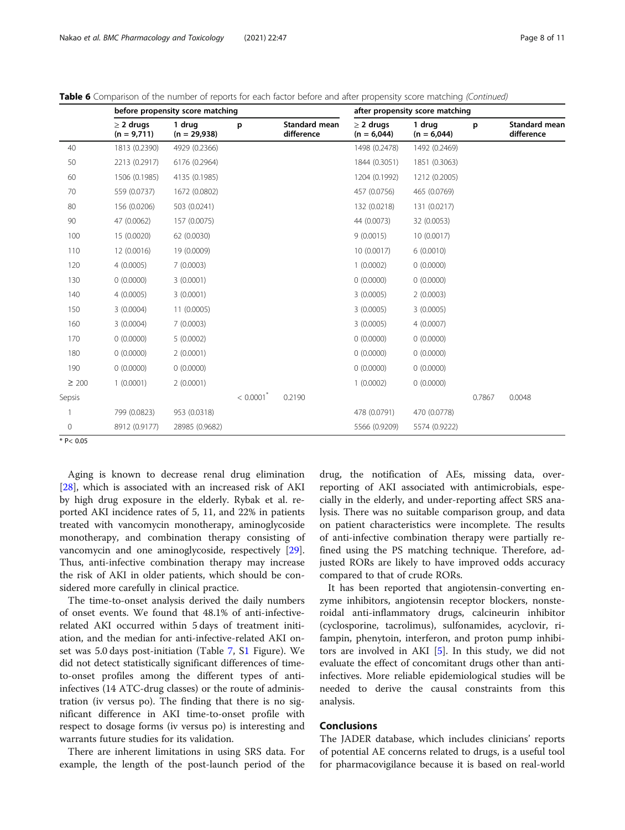|              |                                 | before propensity score matching |                         | after propensity score matching    |                                 |                         |        |                                    |  |
|--------------|---------------------------------|----------------------------------|-------------------------|------------------------------------|---------------------------------|-------------------------|--------|------------------------------------|--|
|              | $\geq$ 2 drugs<br>$(n = 9,711)$ | 1 drug<br>$(n = 29,938)$         | p                       | <b>Standard mean</b><br>difference | $\geq$ 2 drugs<br>$(n = 6,044)$ | 1 drug<br>$(n = 6,044)$ | p      | <b>Standard mean</b><br>difference |  |
| 40           | 1813 (0.2390)                   | 4929 (0.2366)                    |                         |                                    | 1498 (0.2478)                   | 1492 (0.2469)           |        |                                    |  |
| 50           | 2213 (0.2917)                   | 6176 (0.2964)                    |                         |                                    | 1844 (0.3051)                   | 1851 (0.3063)           |        |                                    |  |
| 60           | 1506 (0.1985)                   | 4135 (0.1985)                    |                         |                                    | 1204 (0.1992)                   | 1212 (0.2005)           |        |                                    |  |
| 70           | 559 (0.0737)                    | 1672 (0.0802)                    |                         |                                    | 457 (0.0756)                    | 465 (0.0769)            |        |                                    |  |
| 80           | 156 (0.0206)                    | 503 (0.0241)                     |                         |                                    | 132 (0.0218)                    | 131 (0.0217)            |        |                                    |  |
| 90           | 47 (0.0062)                     | 157 (0.0075)                     |                         |                                    | 44 (0.0073)                     | 32 (0.0053)             |        |                                    |  |
| 100          | 15 (0.0020)                     | 62 (0.0030)                      |                         |                                    | 9(0.0015)                       | 10 (0.0017)             |        |                                    |  |
| 110          | 12 (0.0016)                     | 19 (0.0009)                      |                         |                                    | 10 (0.0017)                     | 6(0.0010)               |        |                                    |  |
| 120          | 4(0.0005)                       | 7(0.0003)                        |                         |                                    | 1(0.0002)                       | 0(0.0000)               |        |                                    |  |
| 130          | 0(0.0000)                       | 3(0.0001)                        |                         |                                    | 0(0.0000)                       | 0(0.0000)               |        |                                    |  |
| 140          | 4(0.0005)                       | 3(0.0001)                        |                         |                                    | 3(0.0005)                       | 2(0.0003)               |        |                                    |  |
| 150          | 3(0.0004)                       | 11 (0.0005)                      |                         |                                    | 3(0.0005)                       | 3(0.0005)               |        |                                    |  |
| 160          | 3(0.0004)                       | 7(0.0003)                        |                         |                                    | 3(0.0005)                       | 4(0.0007)               |        |                                    |  |
| 170          | 0(0.0000)                       | 5(0.0002)                        |                         |                                    | 0(0.0000)                       | 0(0.0000)               |        |                                    |  |
| 180          | 0(0.0000)                       | 2(0.0001)                        |                         |                                    | 0(0.0000)                       | 0(0.0000)               |        |                                    |  |
| 190          | 0(0.0000)                       | 0(0.0000)                        |                         |                                    | 0(0.0000)                       | 0(0.0000)               |        |                                    |  |
| $\geq 200$   | 1(0.0001)                       | 2(0.0001)                        |                         |                                    | 1(0.0002)                       | 0(0.0000)               |        |                                    |  |
| Sepsis       |                                 |                                  | $< 0.0001$ <sup>*</sup> | 0.2190                             |                                 |                         | 0.7867 | 0.0048                             |  |
|              | 799 (0.0823)                    | 953 (0.0318)                     |                         |                                    | 478 (0.0791)                    | 470 (0.0778)            |        |                                    |  |
| $\mathbf{0}$ | 8912 (0.9177)                   | 28985 (0.9682)                   |                         |                                    | 5566 (0.9209)                   | 5574 (0.9222)           |        |                                    |  |

Table 6 Comparison of the number of reports for each factor before and after propensity score matching (Continued)

 $* P < 0.05$ 

Aging is known to decrease renal drug elimination [[28\]](#page-10-0), which is associated with an increased risk of AKI by high drug exposure in the elderly. Rybak et al. reported AKI incidence rates of 5, 11, and 22% in patients treated with vancomycin monotherapy, aminoglycoside monotherapy, and combination therapy consisting of vancomycin and one aminoglycoside, respectively [\[29](#page-10-0)]. Thus, anti-infective combination therapy may increase the risk of AKI in older patients, which should be considered more carefully in clinical practice.

The time-to-onset analysis derived the daily numbers of onset events. We found that 48.1% of anti-infectiverelated AKI occurred within 5 days of treatment initiation, and the median for anti-infective-related AKI onset was 5.0 days post-initiation (Table [7](#page-8-0), S[1](#page-8-0) Figure). We did not detect statistically significant differences of timeto-onset profiles among the different types of antiinfectives (14 ATC-drug classes) or the route of administration (iv versus po). The finding that there is no significant difference in AKI time-to-onset profile with respect to dosage forms (iv versus po) is interesting and warrants future studies for its validation.

There are inherent limitations in using SRS data. For example, the length of the post-launch period of the

drug, the notification of AEs, missing data, overreporting of AKI associated with antimicrobials, especially in the elderly, and under-reporting affect SRS analysis. There was no suitable comparison group, and data on patient characteristics were incomplete. The results of anti-infective combination therapy were partially refined using the PS matching technique. Therefore, adjusted RORs are likely to have improved odds accuracy compared to that of crude RORs.

It has been reported that angiotensin-converting enzyme inhibitors, angiotensin receptor blockers, nonsteroidal anti-inflammatory drugs, calcineurin inhibitor (cyclosporine, tacrolimus), sulfonamides, acyclovir, rifampin, phenytoin, interferon, and proton pump inhibitors are involved in AKI [[5\]](#page-9-0). In this study, we did not evaluate the effect of concomitant drugs other than antiinfectives. More reliable epidemiological studies will be needed to derive the causal constraints from this analysis.

#### Conclusions

The JADER database, which includes clinicians' reports of potential AE concerns related to drugs, is a useful tool for pharmacovigilance because it is based on real-world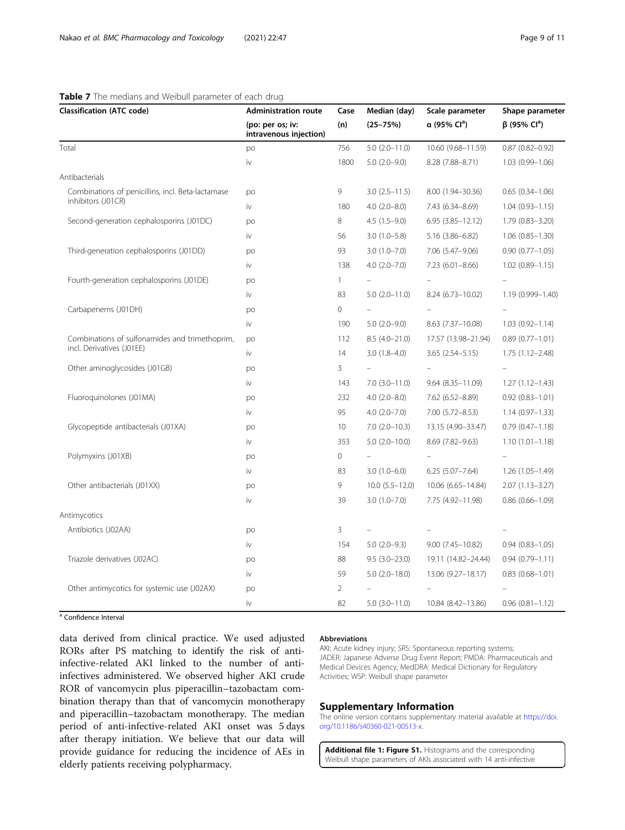<span id="page-8-0"></span>

| <b>Classification (ATC code)</b>                                            | <b>Administration route</b>                | Case           | Median (day)          | Scale parameter          | Shape parameter            |  |
|-----------------------------------------------------------------------------|--------------------------------------------|----------------|-----------------------|--------------------------|----------------------------|--|
|                                                                             | (po: per os; iv:<br>intravenous injection) | (n)            | $(25 - 75%)$          | α (95% Cl <sup>a</sup> ) | $β$ (95% Cl <sup>a</sup> ) |  |
| Total                                                                       | po                                         | 756            | $5.0$ $(2.0 - 11.0)$  | 10.60 (9.68-11.59)       | $0.87$ $(0.82 - 0.92)$     |  |
|                                                                             | iv                                         | 1800           | $5.0(2.0-9.0)$        | 8.28 (7.88-8.71)         | $1.03(0.99 - 1.06)$        |  |
| Antibacterials                                                              |                                            |                |                       |                          |                            |  |
| Combinations of penicillins, incl. Beta-lactamase                           | po                                         | 9              | $3.0(2.5 - 11.5)$     | 8.00 (1.94-30.36)        | $0.65(0.34 - 1.06)$        |  |
| inhibitors (J01CR)                                                          | iv                                         | 180            | $4.0(2.0 - 8.0)$      | 7.43 (6.34-8.69)         | $1.04(0.93 - 1.15)$        |  |
| Second-generation cephalosporins (J01DC)                                    | po                                         | 8              | $4.5(1.5-9.0)$        | $6.95(3.85 - 12.12)$     | $1.79(0.83 - 3.20)$        |  |
|                                                                             | iv                                         | 56             | $3.0(1.0-5.8)$        | 5.16 (3.86-6.82)         | $1.06$ $(0.85 - 1.30)$     |  |
| Third-generation cephalosporins (J01DD)                                     | po                                         | 93             | $3.0(1.0 - 7.0)$      | 7.06 (5.47-9.06)         | $0.90(0.77 - 1.05)$        |  |
|                                                                             | iv                                         | 138            | $4.0$ $(2.0 - 7.0)$   | $7.23(6.01 - 8.66)$      | $1.02$ $(0.89 - 1.15)$     |  |
| Fourth-generation cephalosporins (J01DE)                                    | po                                         | $\mathbf{1}$   |                       |                          |                            |  |
|                                                                             | iv                                         | 83             | $5.0$ $(2.0 - 11.0)$  | 8.24 (6.73-10.02)        | 1.19 (0.999-1.40)          |  |
| Carbapenems (J01DH)                                                         | po                                         | 0              |                       |                          |                            |  |
|                                                                             | iv                                         | 190            | $5.0(2.0-9.0)$        | 8.63 (7.37-10.08)        | $1.03(0.92 - 1.14)$        |  |
| Combinations of sulfonamides and trimethoprim,<br>incl. Derivatives (J01EE) | po                                         | 112            | $8.5(4.0-21.0)$       | 17.57 (13.98-21.94)      | $0.89(0.77 - 1.01)$        |  |
|                                                                             | iv                                         | 14             | $3.0(1.8-4.0)$        | $3.65(2.54 - 5.15)$      | $1.75(1.12 - 2.48)$        |  |
| Other aminoglycosides (J01GB)                                               | po                                         | 3              |                       |                          |                            |  |
|                                                                             | iv                                         | 143            | $7.0$ $(3.0 - 11.0)$  | $9.64(8.35 - 11.09)$     | $1.27(1.12 - 1.43)$        |  |
| Fluoroquinolones (J01MA)                                                    | po                                         | 232            | $4.0$ $(2.0 - 8.0)$   | 7.62 (6.52-8.89)         | $0.92$ $(0.83 - 1.01)$     |  |
|                                                                             | iv                                         | 95             | $4.0(2.0 - 7.0)$      | 7.00 (5.72-8.53)         | $1.14(0.97 - 1.33)$        |  |
| Glycopeptide antibacterials (J01XA)                                         | po                                         | 10             | $7.0(2.0-10.3)$       | 13.15 (4.90-33.47)       | $0.79(0.47 - 1.18)$        |  |
|                                                                             | iv                                         | 353            | $5.0$ $(2.0 - 10.0)$  | 8.69 (7.82-9.63)         | $1.10(1.01 - 1.18)$        |  |
| Polymyxins (J01XB)                                                          | po                                         | $\mathbf{0}$   |                       |                          |                            |  |
|                                                                             | iv                                         | 83             | $3.0(1.0-6.0)$        | $6.25(5.07 - 7.64)$      | $1.26(1.05-1.49)$          |  |
| Other antibacterials (J01XX)                                                | po                                         | 9              | $10.0$ $(5.5 - 12.0)$ | 10.06 (6.65-14.84)       | $2.07(1.13 - 3.27)$        |  |
|                                                                             | iv                                         | 39             | $3.0(1.0 - 7.0)$      | 7.75 (4.92-11.98)        | $0.86$ (0.66-1.09)         |  |
| Antimycotics                                                                |                                            |                |                       |                          |                            |  |
| Antibiotics (J02AA)                                                         | po                                         | 3              |                       |                          |                            |  |
|                                                                             | iv                                         | 154            | $5.0(2.0-9.3)$        | $9.00(7.45 - 10.82)$     | $0.94(0.83 - 1.05)$        |  |
| Triazole derivatives (J02AC)                                                | po                                         | 88             | $9.5(3.0-23.0)$       | 19.11 (14.82-24.44)      | $0.94(0.79 - 1.11)$        |  |
|                                                                             | iv                                         | 59             | $5.0$ $(2.0 - 18.0)$  | 13.06 (9.27-18.17)       | $0.83$ $(0.68 - 1.01)$     |  |
| Other antimycotics for systemic use (J02AX)                                 | po                                         | $\overline{2}$ |                       |                          |                            |  |
|                                                                             | iv                                         | 82             | $5.0$ $(3.0 - 11.0)$  | 10.84 (8.42-13.86)       | $0.96(0.81 - 1.12)$        |  |

a Confidence Interval

data derived from clinical practice. We used adjusted RORs after PS matching to identify the risk of antiinfective-related AKI linked to the number of antiinfectives administered. We observed higher AKI crude ROR of vancomycin plus piperacillin–tazobactam combination therapy than that of vancomycin monotherapy and piperacillin–tazobactam monotherapy. The median period of anti-infective-related AKI onset was 5 days after therapy initiation. We believe that our data will provide guidance for reducing the incidence of AEs in elderly patients receiving polypharmacy.

#### Abbreviations

AKI: Acute kidney injury; SRS: Spontaneous reporting systems; JADER: Japanese Adverse Drug Event Report; PMDA: Pharmaceuticals and Medical Devices Agency; MedDRA: Medical Dictionary for Regulatory Activities; WSP: Weibull shape parameter

#### Supplementary Information

The online version contains supplementary material available at [https://doi.](https://doi.org/10.1186/s40360-021-00513-x) [org/10.1186/s40360-021-00513-x](https://doi.org/10.1186/s40360-021-00513-x).

Additional file 1: Figure S1. Histograms and the corresponding Weibull shape parameters of AKIs associated with 14 anti-infective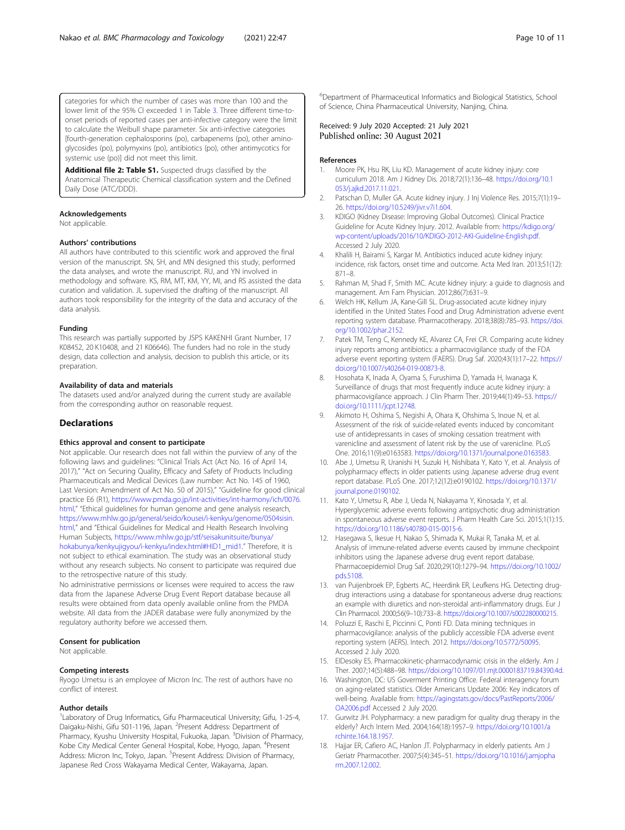<span id="page-9-0"></span>categories for which the number of cases was more than 100 and the lower limit of the 95% CI exceeded 1 in Table 3. Three different time-toonset periods of reported cases per anti-infective category were the limit to calculate the Weibull shape parameter. Six anti-infective categories [fourth-generation cephalosporins (po), carbapenems (po), other aminoglycosides (po), polymyxins (po), antibiotics (po), other antimycotics for systemic use (po)] did not meet this limit.

Additional file 2: Table S1. Suspected drugs classified by the Anatomical Therapeutic Chemical classification system and the Defined Daily Dose (ATC/DDD).

#### Acknowledgements

Not applicable.

#### Authors' contributions

All authors have contributed to this scientific work and approved the final version of the manuscript. SN, SH, and MN designed this study, performed the data analyses, and wrote the manuscript. RU, and YN involved in methodology and software. KS, RM, MT, KM, YY, MI, and RS assisted the data curation and validation. JL supervised the drafting of the manuscript. All authors took responsibility for the integrity of the data and accuracy of the data analysis.

#### Funding

This research was partially supported by JSPS KAKENHI Grant Number, 17 K08452, 20 K10408, and 21 K06646). The funders had no role in the study design, data collection and analysis, decision to publish this article, or its preparation.

#### Availability of data and materials

The datasets used and/or analyzed during the current study are available from the corresponding author on reasonable request.

#### Declarations

#### Ethics approval and consent to participate

Not applicable. Our research does not fall within the purview of any of the following laws and guidelines: "Clinical Trials Act (Act No. 16 of April 14, 2017)," "Act on Securing Quality, Efficacy and Safety of Products Including Pharmaceuticals and Medical Devices (Law number: Act No. 145 of 1960, Last Version: Amendment of Act No. 50 of 2015)," "Guideline for good clinical practice E6 (R1), [https://www.pmda.go.jp/int-activities/int-harmony/ich/0076.](https://www.pmda.go.jp/int-activities/int-harmony/ich/0076.html) [html,](https://www.pmda.go.jp/int-activities/int-harmony/ich/0076.html)" "Ethical guidelines for human genome and gene analysis research, [https://www.mhlw.go.jp/general/seido/kousei/i-kenkyu/genome/0504sisin.](https://www.mhlw.go.jp/general/seido/kousei/i-kenkyu/genome/0504sisin.html) [html,](https://www.mhlw.go.jp/general/seido/kousei/i-kenkyu/genome/0504sisin.html)" and "Ethical Guidelines for Medical and Health Research Involving Human Subjects, [https://www.mhlw.go.jp/stf/seisakunitsuite/bunya/](https://www.mhlw.go.jp/stf/seisakunitsuite/bunya/hokabunya/kenkyujigyou/i-kenkyu/index.html#HID1_mid1.) [hokabunya/kenkyujigyou/i-kenkyu/index.html#HID1\\_mid1.](https://www.mhlw.go.jp/stf/seisakunitsuite/bunya/hokabunya/kenkyujigyou/i-kenkyu/index.html#HID1_mid1.)" Therefore, it is not subject to ethical examination. The study was an observational study without any research subjects. No consent to participate was required due to the retrospective nature of this study.

No administrative permissions or licenses were required to access the raw data from the Japanese Adverse Drug Event Report database because all results were obtained from data openly available online from the PMDA website. All data from the JADER database were fully anonymized by the regulatory authority before we accessed them.

#### Consent for publication

Not applicable.

#### Competing interests

Ryogo Umetsu is an employee of Micron Inc. The rest of authors have no conflict of interest.

#### Author details

<sup>1</sup> Laboratory of Drug Informatics, Gifu Pharmaceutical University; Gifu, 1-25-4, Daigaku-Nishi, Gifu 501-1196, Japan. <sup>2</sup>Present Address: Department of Pharmacy, Kyushu University Hospital, Fukuoka, Japan. <sup>3</sup>Division of Pharmacy, Kobe City Medical Center General Hospital, Kobe, Hyogo, Japan. <sup>4</sup>Present Address: Micron Inc, Tokyo, Japan. <sup>5</sup>Present Address: Division of Pharmacy, Japanese Red Cross Wakayama Medical Center, Wakayama, Japan.

6 Department of Pharmaceutical Informatics and Biological Statistics, School of Science, China Pharmaceutical University, Nanjing, China.

Received: 9 July 2020 Accepted: 21 July 2021 Published online: 30 August 2021

#### References

- 1. Moore PK, Hsu RK, Liu KD. Management of acute kidney injury: core curriculum 2018. Am J Kidney Dis. 2018;72(1):136–48. [https://doi.org/10.1](https://doi.org/10.1053/j.ajkd.2017.11.021) [053/j.ajkd.2017.11.021.](https://doi.org/10.1053/j.ajkd.2017.11.021)
- 2. Patschan D, Muller GA. Acute kidney injury. J Inj Violence Res. 2015;7(1):19– 26. <https://doi.org/10.5249/jivr.v7i1.604>.
- 3. KDIGO (Kidney Disease: Improving Global Outcomes). Clinical Practice Guideline for Acute Kidney Injury. 2012. Available from: [https://kdigo.org/](https://kdigo.org/wp-content/uploads/2016/10/KDIGO-2012-AKI-Guideline-English.pdf) [wp-content/uploads/2016/10/KDIGO-2012-AKI-Guideline-English.pdf.](https://kdigo.org/wp-content/uploads/2016/10/KDIGO-2012-AKI-Guideline-English.pdf) Accessed 2 July 2020.
- 4. Khalili H, Bairami S, Kargar M. Antibiotics induced acute kidney injury: incidence, risk factors, onset time and outcome. Acta Med Iran. 2013;51(12): 871–8.
- 5. Rahman M, Shad F, Smith MC. Acute kidney injury: a guide to diagnosis and management. Am Fam Physician. 2012;86(7):631–9.
- 6. Welch HK, Kellum JA, Kane-Gill SL. Drug-associated acute kidney injury identified in the United States Food and Drug Administration adverse event reporting system database. Pharmacotherapy. 2018;38(8):785–93. [https://doi.](https://doi.org/10.1002/phar.2152) [org/10.1002/phar.2152.](https://doi.org/10.1002/phar.2152)
- 7. Patek TM, Teng C, Kennedy KE, Alvarez CA, Frei CR. Comparing acute kidney injury reports among antibiotics: a pharmacovigilance study of the FDA adverse event reporting system (FAERS). Drug Saf. 2020;43(1):17–22. [https://](https://doi.org/10.1007/s40264-019-00873-8) [doi.org/10.1007/s40264-019-00873-8.](https://doi.org/10.1007/s40264-019-00873-8)
- 8. Hosohata K, Inada A, Oyama S, Furushima D, Yamada H, Iwanaga K. Surveillance of drugs that most frequently induce acute kidney injury: a pharmacovigilance approach. J Clin Pharm Ther. 2019;44(1):49–53. [https://](https://doi.org/10.1111/jcpt.12748) [doi.org/10.1111/jcpt.12748](https://doi.org/10.1111/jcpt.12748).
- 9. Akimoto H, Oshima S, Negishi A, Ohara K, Ohshima S, Inoue N, et al. Assessment of the risk of suicide-related events induced by concomitant use of antidepressants in cases of smoking cessation treatment with varenicline and assessment of latent risk by the use of varenicline. PLoS One. 2016;11(9):e0163583. <https://doi.org/10.1371/journal.pone.0163583>.
- 10. Abe J, Umetsu R, Uranishi H, Suzuki H, Nishibata Y, Kato Y, et al. Analysis of polypharmacy effects in older patients using Japanese adverse drug event report database. PLoS One. 2017;12(12):e0190102. [https://doi.org/10.1371/](https://doi.org/10.1371/journal.pone.0190102) [journal.pone.0190102](https://doi.org/10.1371/journal.pone.0190102).
- 11. Kato Y, Umetsu R, Abe J, Ueda N, Nakayama Y, Kinosada Y, et al. Hyperglycemic adverse events following antipsychotic drug administration in spontaneous adverse event reports. J Pharm Health Care Sci. 2015;1(1):15. <https://doi.org/10.1186/s40780-015-0015-6>.
- 12. Hasegawa S, Ikesue H, Nakao S, Shimada K, Mukai R, Tanaka M, et al. Analysis of immune-related adverse events caused by immune checkpoint inhibitors using the Japanese adverse drug event report database. Pharmacoepidemiol Drug Saf. 2020;29(10):1279–94. [https://doi.org/10.1002/](https://doi.org/10.1002/pds.5108) [pds.5108.](https://doi.org/10.1002/pds.5108)
- 13. van Puijenbroek EP, Egberts AC, Heerdink ER, Leufkens HG. Detecting drugdrug interactions using a database for spontaneous adverse drug reactions: an example with diuretics and non-steroidal anti-inflammatory drugs. Eur J Clin Pharmacol. 2000;56(9–10):733–8. [https://doi.org/10.1007/s002280000215.](https://doi.org/10.1007/s002280000215)
- 14. Poluzzi E, Raschi E, Piccinni C, Ponti FD. Data mining techniques in pharmacovigilance: analysis of the publicly accessible FDA adverse event reporting system (AERS). Intech. 2012. [https://doi.org/10.5772/50095.](https://doi.org/10.5772/50095) Accessed 2 July 2020.
- 15. ElDesoky ES. Pharmacokinetic-pharmacodynamic crisis in the elderly. Am J Ther. 2007;14(5):488–98. <https://doi.org/10.1097/01.mjt.0000183719.84390.4d>.
- 16. Washington, DC: US Goverment Printing Office. Federal interagency forum on aging-related statistics. Older Americans Update 2006: Key indicators of well-being. Available from: [https://agingstats.gov/docs/PastReports/2006/](https://agingstats.gov/docs/PastReports/2006/OA2006.pdf) [OA2006.pdf](https://agingstats.gov/docs/PastReports/2006/OA2006.pdf) Accessed 2 July 2020.
- 17. Gurwitz JH. Polypharmacy: a new paradigm for quality drug therapy in the elderly? Arch Intern Med. 2004;164(18):1957–9. [https://doi.org/10.1001/a](https://doi.org/10.1001/archinte.164.18.1957) [rchinte.164.18.1957.](https://doi.org/10.1001/archinte.164.18.1957)
- 18. Hajjar ER, Cafiero AC, Hanlon JT. Polypharmacy in elderly patients. Am J Geriatr Pharmacother. 2007;5(4):345–51. [https://doi.org/10.1016/j.amjopha](https://doi.org/10.1016/j.amjopharm.2007.12.002) [rm.2007.12.002.](https://doi.org/10.1016/j.amjopharm.2007.12.002)